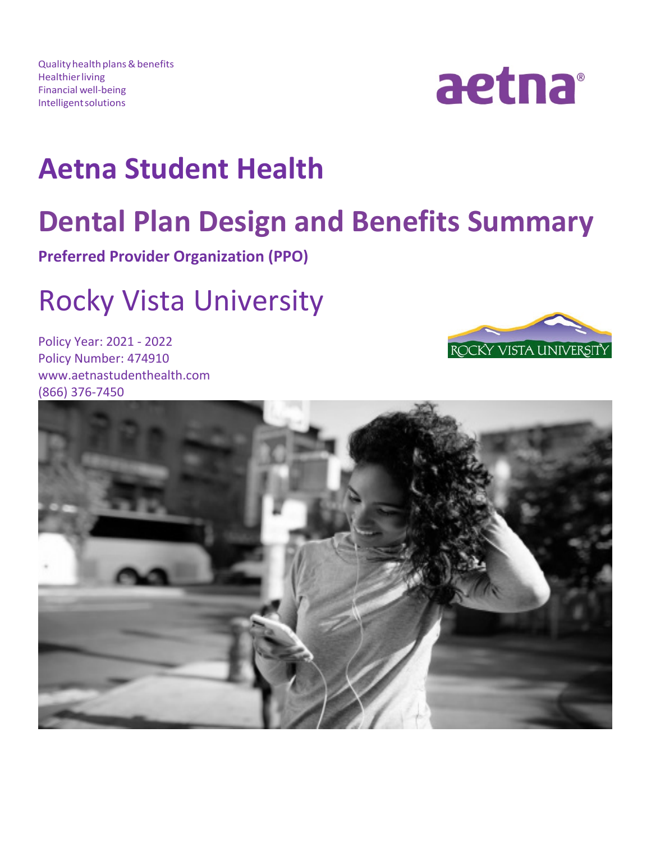Quality health plans & benefits **Healthier living** Financial well-being Intelligentsolutions



# **Aetna Student Health**

# **Dental Plan Design and Benefits Summary**<br>**Preferred Provider Organization (PPO)**

# Rocky Vista University

Policy Year: 2021 - 2022 Policy Number: 474910 www.aetnastudenthealth.com (866) 376-7450



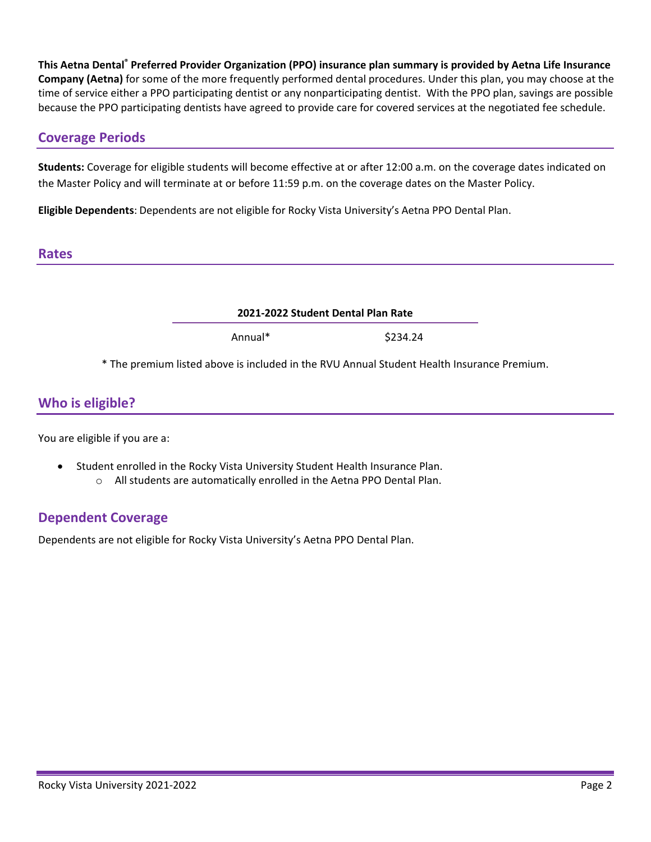**This Aetna Dental® Preferred Provider Organization (PPO) insurance plan summary is provided by Aetna Life Insurance Company (Aetna)** for some of the more frequently performed dental procedures. Under this plan, you may choose at the time of service either a PPO participating dentist or any nonparticipating dentist. With the PPO plan, savings are possible because the PPO participating dentists have agreed to provide care for covered services at the negotiated fee schedule.

# **Coverage Periods**

**Students:** Coverage for eligible students will become effective at or after 12:00 a.m. on the coverage dates indicated on the Master Policy and will terminate at or before 11:59 p.m. on the coverage dates on the Master Policy.

**Eligible Dependents**: Dependents are not eligible for Rocky Vista University's Aetna PPO Dental Plan.

#### **Rates**

| 2021-2022 Student Dental Plan Rate                                                         |          |  |
|--------------------------------------------------------------------------------------------|----------|--|
| Annual*                                                                                    | \$234.24 |  |
| * The premium listed above is included in the RVU Annual Student Health Insurance Premium. |          |  |

# **Who is eligible?**

You are eligible if you are a:

- Student enrolled in the Rocky Vista University Student Health Insurance Plan.
	- o All students are automatically enrolled in the Aetna PPO Dental Plan.

# **Dependent Coverage**

Dependents are not eligible for Rocky Vista University's Aetna PPO Dental Plan.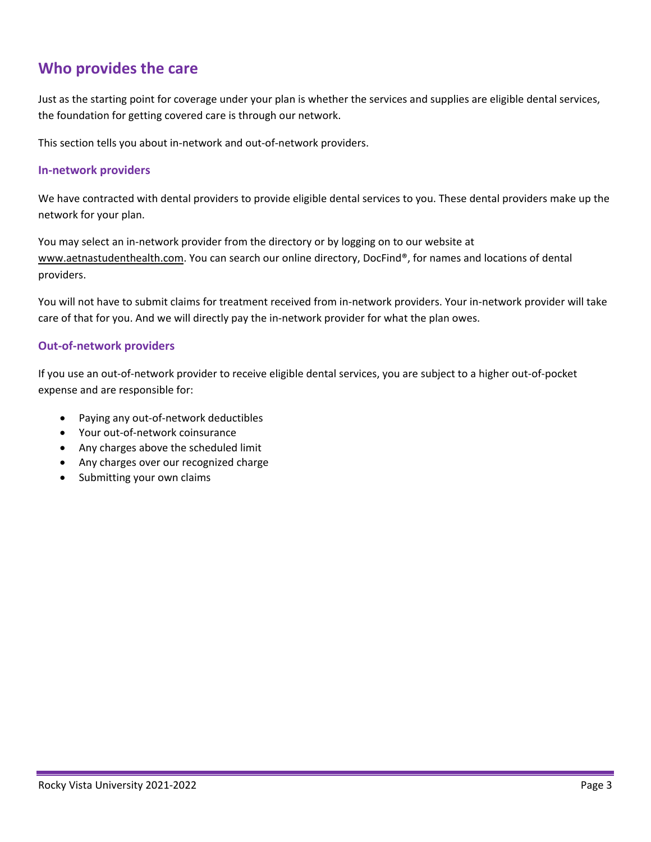# **Who provides the care**

Just as the starting point for coverage under your plan is whether the services and supplies are eligible dental services, the foundation for getting covered care is through our network.

This section tells you about in-network and out-of-network providers.

#### **In-network providers**

We have contracted with dental providers to provide eligible dental services to you. These dental providers make up the network for your plan.

You may select an in-network provider from the directory or by logging on to our website at [www.aetnastudenthealth.com.](http://www.aetnastudenthealth.com/) You can search our online directory, DocFind®, for names and locations of dental providers.

You will not have to submit claims for treatment received from in-network providers. Your in-network provider will take care of that for you. And we will directly pay the in-network provider for what the plan owes.

#### **Out-of-network providers**

If you use an out-of-network provider to receive eligible dental services, you are subject to a higher out-of-pocket expense and are responsible for:

- Paying any out-of-network deductibles
- Your out-of-network coinsurance
- Any charges above the scheduled limit
- Any charges over our recognized charge
- Submitting your own claims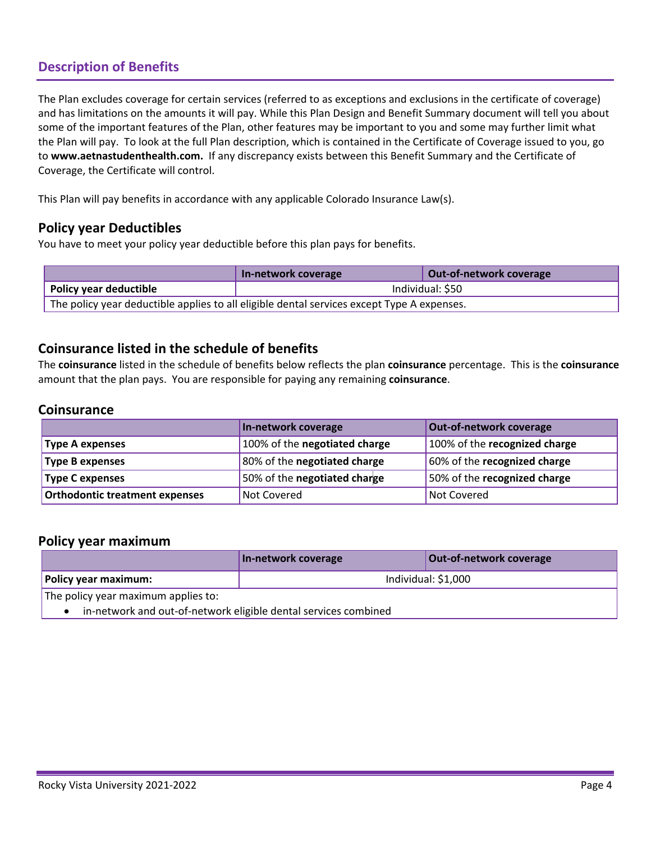# **Description of Benefits**

The Plan excludes coverage for certain services (referred to as exceptions and exclusions in the certificate of coverage) and has limitations on the amounts it will pay. While this Plan Design and Benefit Summary document will tell you about some of the important features of the Plan, other features may be important to you and some may further limit what the Plan will pay. To look at the full Plan description, which is contained in the Certificate of Coverage issued to you, go to **[www.aetnastudenthealth.com.](http://www.aetnastudenthealth.com/)** If any discrepancy exists between this Benefit Summary and the Certificate of Coverage, the Certificate will control.

This Plan will pay benefits in accordance with any applicable Colorado Insurance Law(s).

# **Policy year Deductibles**

You have to meet your policy year deductible before this plan pays for benefits.

|                                                                                            | In-network coverage | Out-of-network coverage |  |  |  |
|--------------------------------------------------------------------------------------------|---------------------|-------------------------|--|--|--|
| Policy year deductible                                                                     | Individual: \$50    |                         |  |  |  |
| The policy year deductible applies to all eligible dental services except Type A expenses. |                     |                         |  |  |  |

# **Coinsurance listed in the schedule of benefits**

The **coinsurance** listed in the schedule of benefits below reflects the plan **coinsurance** percentage. This is the **coinsurance**  amount that the plan pays. You are responsible for paying any remaining **coinsurance**.

#### **Coinsurance**

|                                | In-network coverage           | Out-of-network coverage       |
|--------------------------------|-------------------------------|-------------------------------|
| <b>Type A expenses</b>         | 100% of the negotiated charge | 100% of the recognized charge |
| <b>Type B expenses</b>         | 80% of the negotiated charge  | 60% of the recognized charge  |
| <b>Type C expenses</b>         | 50% of the negotiated charge  | 50% of the recognized charge  |
| Orthodontic treatment expenses | Not Covered                   | Not Covered                   |

#### **Policy year maximum**

|                                                                 | In-network coverage | <b>Out-of-network coverage</b> |  |  |  |
|-----------------------------------------------------------------|---------------------|--------------------------------|--|--|--|
| Individual: \$1,000<br>Policy year maximum:                     |                     |                                |  |  |  |
| The policy year maximum applies to:                             |                     |                                |  |  |  |
| in-network and out-of-network eligible dental services combined |                     |                                |  |  |  |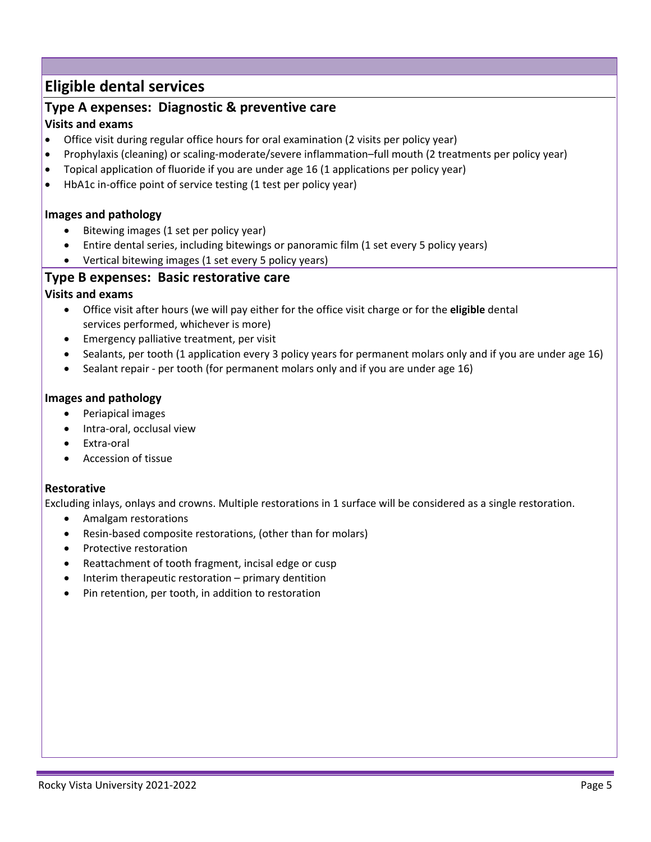# **Eligible dental services**

# **Type A expenses: Diagnostic & preventive care**

#### **Visits and exams**

- Office visit during regular office hours for oral examination (2 visits per policy year)
- Prophylaxis (cleaning) or scaling-moderate/severe inflammation–full mouth (2 treatments per policy year)
- Topical application of fluoride if you are under age 16 (1 applications per policy year)
- HbA1c in-office point of service testing (1 test per policy year)

#### **Images and pathology**

- Bitewing images (1 set per policy year)
- Entire dental series, including bitewings or panoramic film (1 set every 5 policy years)
- Vertical bitewing images (1 set every 5 policy years)

# **Type B expenses: Basic restorative care**

# **Visits and exams**

- Office visit after hours (we will pay either for the office visit charge or for the **eligible** dental services performed, whichever is more)
- Emergency palliative treatment, per visit
- Sealants, per tooth (1 application every 3 policy years for permanent molars only and if you are under age 16)
- Sealant repair per tooth (for permanent molars only and if you are under age 16)

#### **Images and pathology**

- Periapical images
- Intra-oral, occlusal view
- Extra-oral
- Accession of tissue

# **Restorative**

Excluding inlays, onlays and crowns. Multiple restorations in 1 surface will be considered as a single restoration.

- Amalgam restorations
- Resin-based composite restorations, (other than for molars)
- Protective restoration
- Reattachment of tooth fragment, incisal edge or cusp
- Interim therapeutic restoration primary dentition
- Pin retention, per tooth, in addition to restoration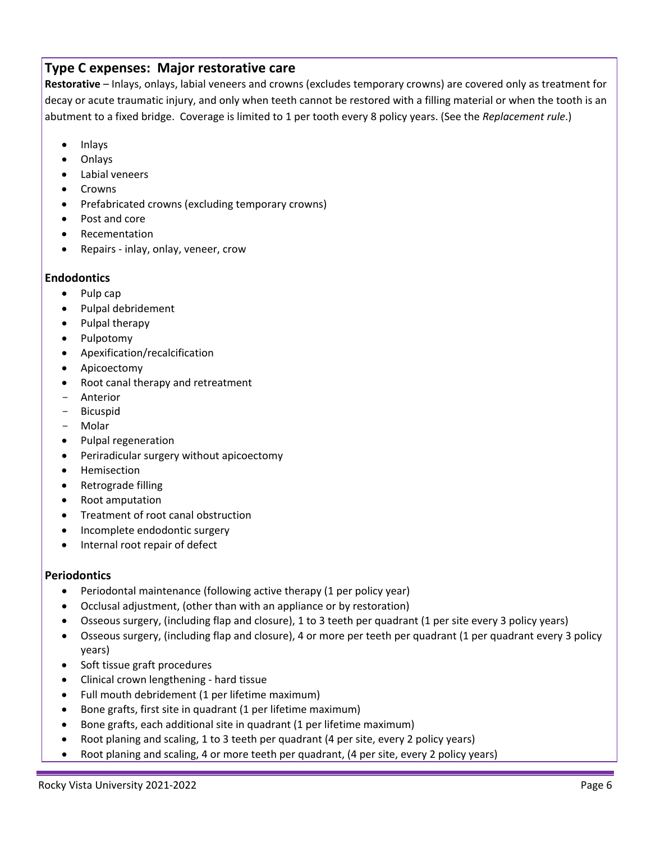# **Type C expenses: Major restorative care**

**Restorative** – Inlays, onlays, labial veneers and crowns (excludes temporary crowns) are covered only as treatment for decay or acute traumatic injury, and only when teeth cannot be restored with a filling material or when the tooth is an abutment to a fixed bridge. Coverage is limited to 1 per tooth every 8 policy years. (See the *Replacement rule*.)

- Inlays
- Onlays
- Labial veneers
- Crowns
- Prefabricated crowns (excluding temporary crowns)
- Post and core
- Recementation
- Repairs inlay, onlay, veneer, crow

#### **Endodontics**

- Pulp cap
- Pulpal debridement
- Pulpal therapy
- Pulpotomy
- Apexification/recalcification
- Apicoectomy
- Root canal therapy and retreatment
- Anterior
- Bicuspid
- Molar
- Pulpal regeneration
- Periradicular surgery without apicoectomy
- Hemisection
- Retrograde filling
- Root amputation
- Treatment of root canal obstruction
- Incomplete endodontic surgery
- Internal root repair of defect

# **Periodontics**

- Periodontal maintenance (following active therapy (1 per policy year)
- Occlusal adjustment, (other than with an appliance or by restoration)
- Osseous surgery, (including flap and closure), 1 to 3 teeth per quadrant (1 per site every 3 policy years)
- Osseous surgery, (including flap and closure), 4 or more per teeth per quadrant (1 per quadrant every 3 policy years)
- Soft tissue graft procedures
- Clinical crown lengthening hard tissue
- Full mouth debridement (1 per lifetime maximum)
- Bone grafts, first site in quadrant (1 per lifetime maximum)
- Bone grafts, each additional site in quadrant (1 per lifetime maximum)
- Root planing and scaling, 1 to 3 teeth per quadrant (4 per site, every 2 policy years)
- Root planing and scaling, 4 or more teeth per quadrant, (4 per site, every 2 policy years)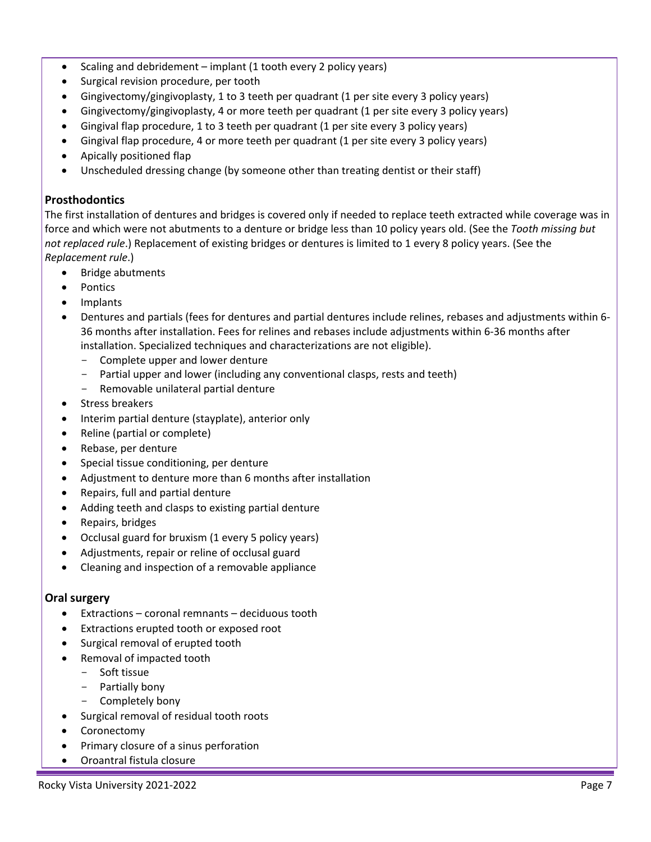- Scaling and debridement implant (1 tooth every 2 policy years)
- Surgical revision procedure, per tooth
- Gingivectomy/gingivoplasty, 1 to 3 teeth per quadrant (1 per site every 3 policy years)
- Gingivectomy/gingivoplasty, 4 or more teeth per quadrant (1 per site every 3 policy years)
- Gingival flap procedure, 1 to 3 teeth per quadrant (1 per site every 3 policy years)
- Gingival flap procedure, 4 or more teeth per quadrant (1 per site every 3 policy years)
- Apically positioned flap
- Unscheduled dressing change (by someone other than treating dentist or their staff)

#### **Prosthodontics**

The first installation of dentures and bridges is covered only if needed to replace teeth extracted while coverage was in force and which were not abutments to a denture or bridge less than 10 policy years old. (See the *Tooth missing but not replaced rule*.) Replacement of existing bridges or dentures is limited to 1 every 8 policy years. (See the *Replacement rule*.)

- Bridge abutments
- Pontics
- Implants
- Dentures and partials (fees for dentures and partial dentures include relines, rebases and adjustments within 6- 36 months after installation. Fees for relines and rebases include adjustments within 6-36 months after installation. Specialized techniques and characterizations are not eligible).
	- Complete upper and lower denture
	- Partial upper and lower (including any conventional clasps, rests and teeth)
	- Removable unilateral partial denture
- Stress breakers
- Interim partial denture (stayplate), anterior only
- Reline (partial or complete)
- Rebase, per denture
- Special tissue conditioning, per denture
- Adjustment to denture more than 6 months after installation
- Repairs, full and partial denture
- Adding teeth and clasps to existing partial denture
- Repairs, bridges
- Occlusal guard for bruxism (1 every 5 policy years)
- Adjustments, repair or reline of occlusal guard
- Cleaning and inspection of a removable appliance

#### **Oral surgery**

- Extractions coronal remnants deciduous tooth
- Extractions erupted tooth or exposed root
- Surgical removal of erupted tooth
- Removal of impacted tooth
	- Soft tissue
	- Partially bony
	- Completely bony
- Surgical removal of residual tooth roots
- **Coronectomy**
- Primary closure of a sinus perforation
- Oroantral fistula closure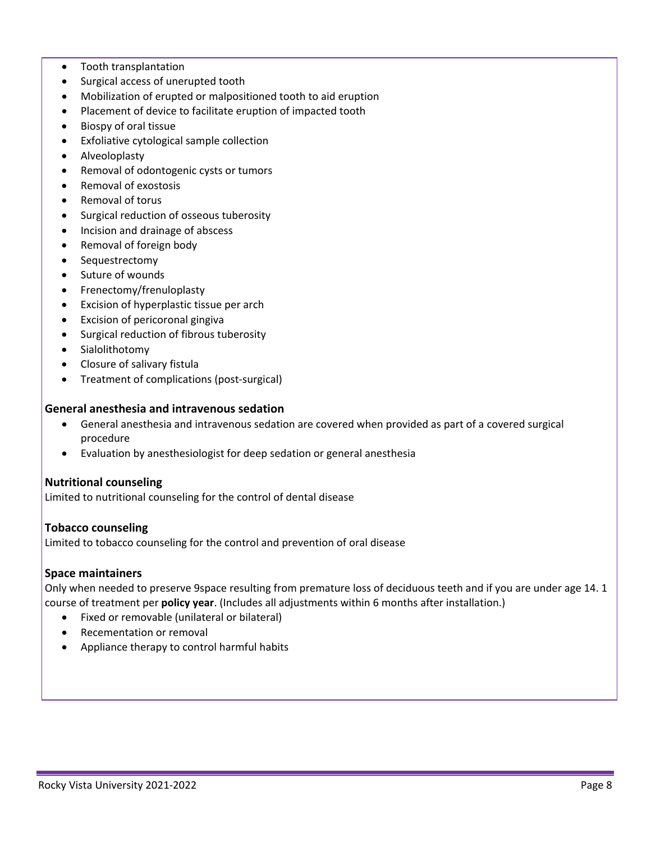- Tooth transplantation
- Surgical access of unerupted tooth
- Mobilization of erupted or malpositioned tooth to aid eruption
- Placement of device to facilitate eruption of impacted tooth
- Biospy of oral tissue
- Exfoliative cytological sample collection
- Alveoloplasty
- Removal of odontogenic cysts or tumors
- Removal of exostosis
- Removal of torus
- Surgical reduction of osseous tuberosity
- Incision and drainage of abscess
- Removal of foreign body
- Sequestrectomy
- Suture of wounds
- Frenectomy/frenuloplasty
- Excision of hyperplastic tissue per arch
- Excision of pericoronal gingiva
- Surgical reduction of fibrous tuberosity
- Sialolithotomy
- Closure of salivary fistula
- Treatment of complications (post-surgical)

#### **General anesthesia and intravenous sedation**

- General anesthesia and intravenous sedation are covered when provided as part of a covered surgical procedure
- Evaluation by anesthesiologist for deep sedation or general anesthesia

#### **Nutritional counseling**

Limited to nutritional counseling for the control of dental disease

#### **Tobacco counseling**

Limited to tobacco counseling for the control and prevention of oral disease

#### **Space maintainers**

Only when needed to preserve 9space resulting from premature loss of deciduous teeth and if you are under age 14. 1 course of treatment per **policy year**. (Includes all adjustments within 6 months after installation.)

- Fixed or removable (unilateral or bilateral)
- Recementation or removal
- Appliance therapy to control harmful habits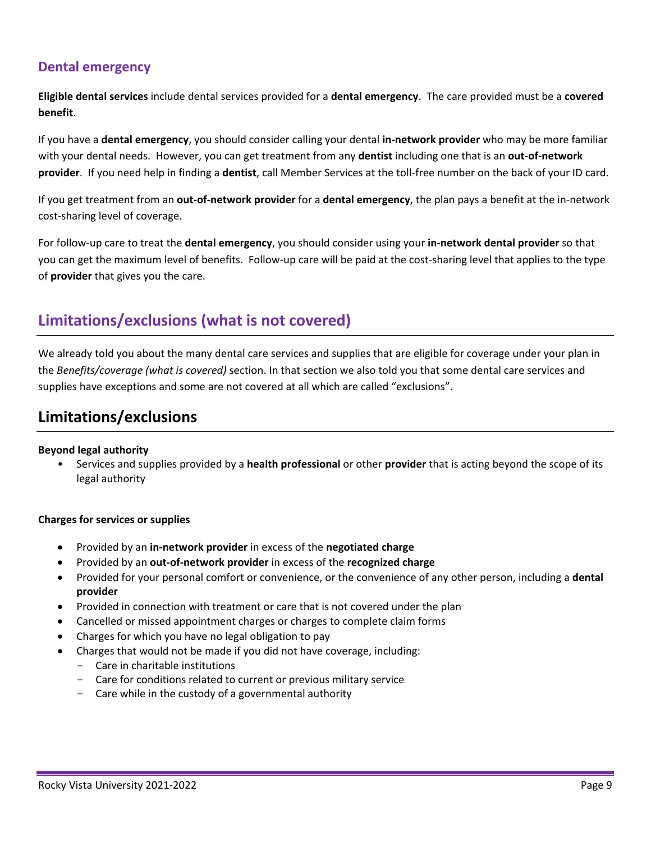# **Dental emergency**

**Eligible dental services** include dental services provided for a **dental emergency**. The care provided must be a **covered benefit**.

If you have a **dental emergency**, you should consider calling your dental **in-network provider** who may be more familiar with your dental needs. However, you can get treatment from any **dentist** including one that is an **out-of-network provider**. If you need help in finding a **dentist**, call Member Services at the toll-free number on the back of your ID card.

If you get treatment from an **out-of-network provider** for a **dental emergency**, the plan pays a benefit at the in-network cost-sharing level of coverage.

For follow-up care to treat the **dental emergency**, you should consider using your **in-network dental provider** so that you can get the maximum level of benefits. Follow-up care will be paid at the cost-sharing level that applies to the type of **provider** that gives you the care.

# **Limitations/exclusions (what is not covered)**

We already told you about the many dental care services and supplies that are eligible for coverage under your plan in the *Benefits/coverage (what is covered)* section. In that section we also told you that some dental care services and supplies have exceptions and some are not covered at all which are called "exclusions".

# **Limitations/exclusions**

#### **Beyond legal authority**

• Services and supplies provided by a **health professional** or other **provider** that is acting beyond the scope of its legal authority

#### **Charges for services or supplies**

- Provided by an **in-network provider** in excess of the **negotiated charge**
- Provided by an **out-of-network provider** in excess of the **recognized charge**
- Provided for your personal comfort or convenience, or the convenience of any other person, including a **dental provider**
- Provided in connection with treatment or care that is not covered under the plan
- Cancelled or missed appointment charges or charges to complete claim forms
- Charges for which you have no legal obligation to pay
- Charges that would not be made if you did not have coverage, including:
	- Care in charitable institutions
	- Care for conditions related to current or previous military service
	- Care while in the custody of a governmental authority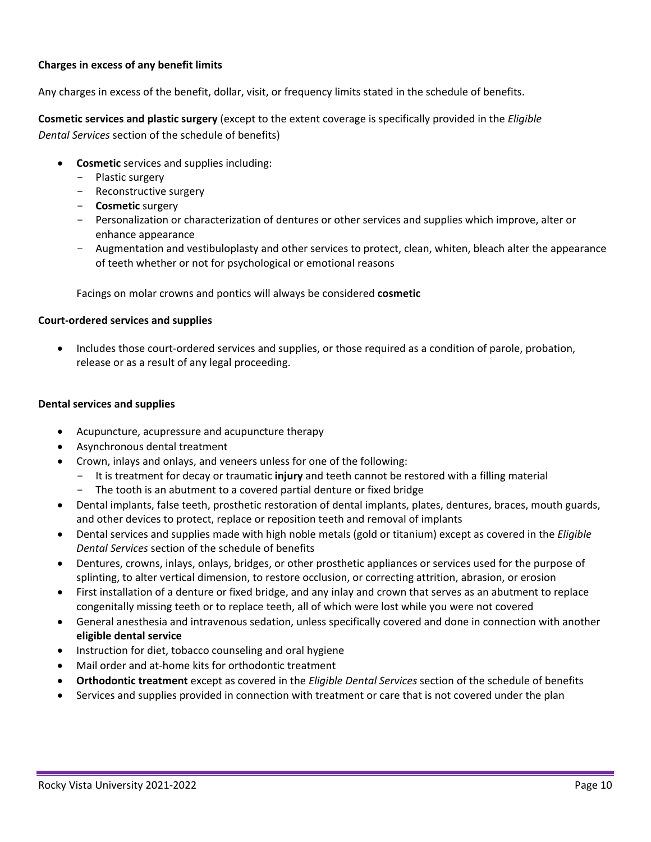#### **Charges in excess of any benefit limits**

Any charges in excess of the benefit, dollar, visit, or frequency limits stated in the schedule of benefits.

**Cosmetic services and plastic surgery** (except to the extent coverage is specifically provided in the *Eligible Dental Services* section of the schedule of benefits)

- **Cosmetic** services and supplies including:
	- Plastic surgery
	- Reconstructive surgery
	- **Cosmetic** surgery
	- Personalization or characterization of dentures or other services and supplies which improve, alter or enhance appearance
	- Augmentation and vestibuloplasty and other services to protect, clean, whiten, bleach alter the appearance of teeth whether or not for psychological or emotional reasons

Facings on molar crowns and pontics will always be considered **cosmetic**

#### **Court-ordered services and supplies**

• Includes those court-ordered services and supplies, or those required as a condition of parole, probation, release or as a result of any legal proceeding.

#### **Dental services and supplies**

- Acupuncture, acupressure and acupuncture therapy
- Asynchronous dental treatment
- Crown, inlays and onlays, and veneers unless for one of the following:
	- It is treatment for decay or traumatic **injury** and teeth cannot be restored with a filling material
	- The tooth is an abutment to a covered partial denture or fixed bridge
- Dental implants, false teeth, prosthetic restoration of dental implants, plates, dentures, braces, mouth guards, and other devices to protect, replace or reposition teeth and removal of implants
- Dental services and supplies made with high noble metals (gold or titanium) except as covered in the *Eligible Dental Services* section of the schedule of benefits
- Dentures, crowns, inlays, onlays, bridges, or other prosthetic appliances or services used for the purpose of splinting, to alter vertical dimension, to restore occlusion, or correcting attrition, abrasion, or erosion
- First installation of a denture or fixed bridge, and any inlay and crown that serves as an abutment to replace congenitally missing teeth or to replace teeth, all of which were lost while you were not covered
- General anesthesia and intravenous sedation, unless specifically covered and done in connection with another **eligible dental service**
- Instruction for diet, tobacco counseling and oral hygiene
- Mail order and at-home kits for orthodontic treatment
- **Orthodontic treatment** except as covered in the *Eligible Dental Services* section of the schedule of benefits
- Services and supplies provided in connection with treatment or care that is not covered under the plan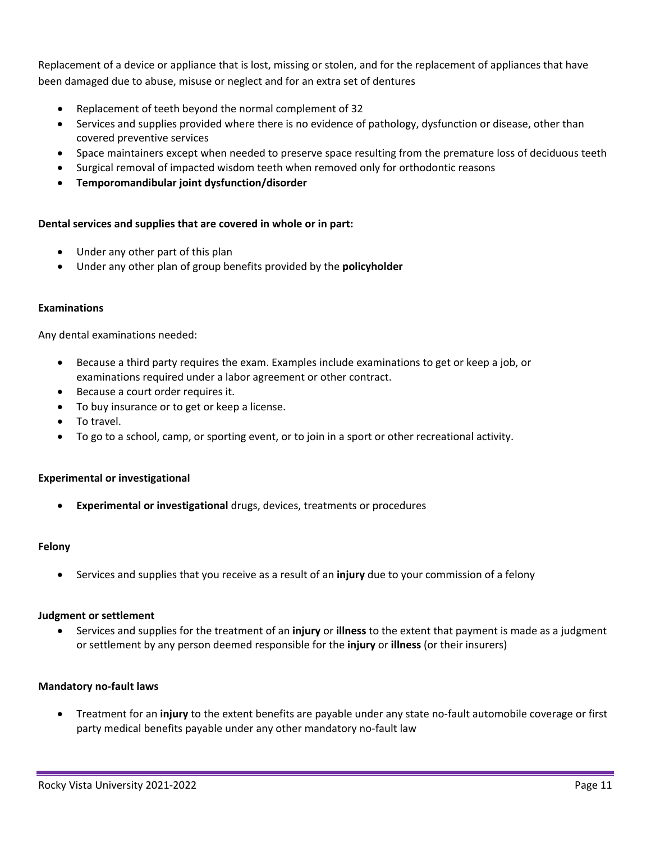Replacement of a device or appliance that is lost, missing or stolen, and for the replacement of appliances that have been damaged due to abuse, misuse or neglect and for an extra set of dentures

- Replacement of teeth beyond the normal complement of 32
- Services and supplies provided where there is no evidence of pathology, dysfunction or disease, other than covered preventive services
- Space maintainers except when needed to preserve space resulting from the premature loss of deciduous teeth
- Surgical removal of impacted wisdom teeth when removed only for orthodontic reasons
- **Temporomandibular joint dysfunction/disorder**

#### **Dental services and supplies that are covered in whole or in part:**

- Under any other part of this plan
- Under any other plan of group benefits provided by the **policyholder**

#### **Examinations**

Any dental examinations needed:

- Because a third party requires the exam. Examples include examinations to get or keep a job, or examinations required under a labor agreement or other contract.
- Because a court order requires it.
- To buy insurance or to get or keep a license.
- To travel.
- To go to a school, camp, or sporting event, or to join in a sport or other recreational activity.

#### **Experimental or investigational**

• **Experimental or investigational** drugs, devices, treatments or procedures

#### **Felony**

• Services and supplies that you receive as a result of an **injury** due to your commission of a felony

#### **Judgment or settlement**

• Services and supplies for the treatment of an **injury** or **illness** to the extent that payment is made as a judgment or settlement by any person deemed responsible for the **injury** or **illness** (or their insurers)

#### **Mandatory no-fault laws**

• Treatment for an **injury** to the extent benefits are payable under any state no-fault automobile coverage or first party medical benefits payable under any other mandatory no-fault law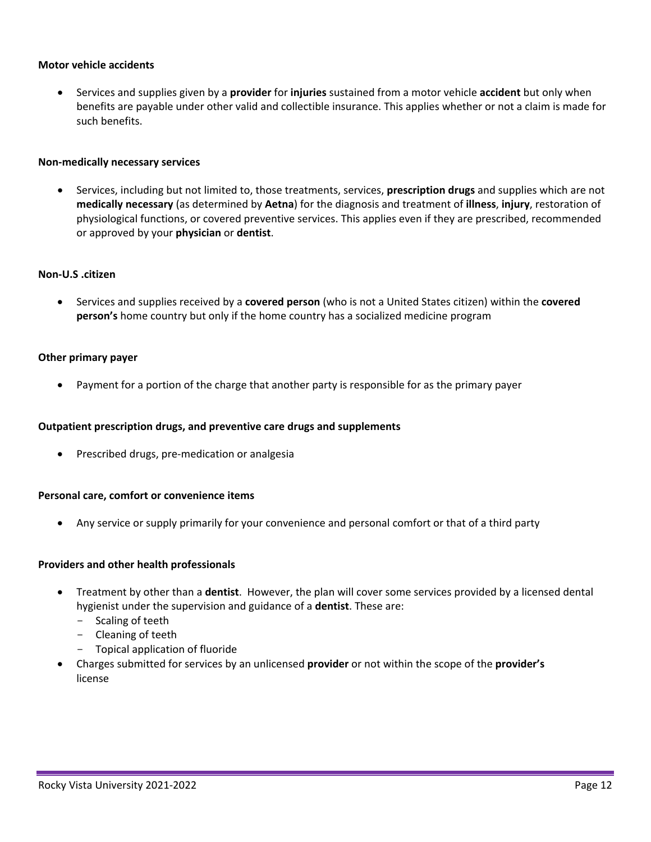#### **Motor vehicle accidents**

• Services and supplies given by a **provider** for **injuries** sustained from a motor vehicle **accident** but only when benefits are payable under other valid and collectible insurance. This applies whether or not a claim is made for such benefits.

#### **Non-medically necessary services**

• Services, including but not limited to, those treatments, services, **prescription drugs** and supplies which are not **medically necessary** (as determined by **Aetna**) for the diagnosis and treatment of **illness**, **injury**, restoration of physiological functions, or covered preventive services. This applies even if they are prescribed, recommended or approved by your **physician** or **dentist**.

#### **Non-U.S .citizen**

• Services and supplies received by a **covered person** (who is not a United States citizen) within the **covered person's** home country but only if the home country has a socialized medicine program

#### **Other primary payer**

• Payment for a portion of the charge that another party is responsible for as the primary payer

#### **Outpatient prescription drugs, and preventive care drugs and supplements**

• Prescribed drugs, pre-medication or analgesia

#### **Personal care, comfort or convenience items**

• Any service or supply primarily for your convenience and personal comfort or that of a third party

#### **Providers and other health professionals**

- Treatment by other than a **dentist**. However, the plan will cover some services provided by a licensed dental hygienist under the supervision and guidance of a **dentist**. These are:
	- Scaling of teeth
	- Cleaning of teeth
	- Topical application of fluoride
- Charges submitted for services by an unlicensed **provider** or not within the scope of the **provider's** license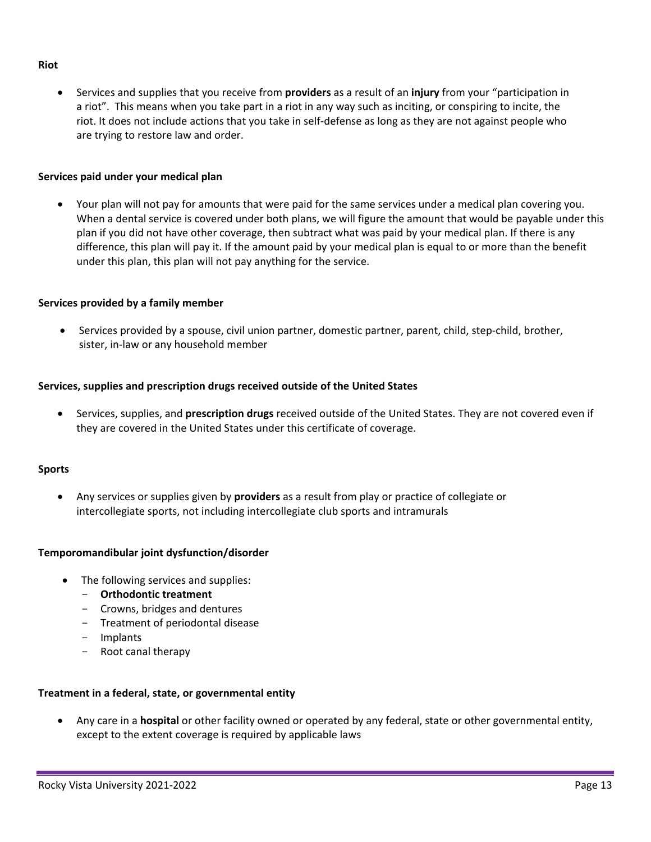#### **Riot**

• Services and supplies that you receive from **providers** as a result of an **injury** from your "participation in a riot". This means when you take part in a riot in any way such as inciting, or conspiring to incite, the riot. It does not include actions that you take in self-defense as long as they are not against people who are trying to restore law and order.

#### **Services paid under your medical plan**

• Your plan will not pay for amounts that were paid for the same services under a medical plan covering you. When a dental service is covered under both plans, we will figure the amount that would be payable under this plan if you did not have other coverage, then subtract what was paid by your medical plan. If there is any difference, this plan will pay it. If the amount paid by your medical plan is equal to or more than the benefit under this plan, this plan will not pay anything for the service.

#### **Services provided by a family member**

• Services provided by a spouse, civil union partner, domestic partner, parent, child, step-child, brother, sister, in-law or any household member

#### **Services, supplies and prescription drugs received outside of the United States**

• Services, supplies, and **prescription drugs** received outside of the United States. They are not covered even if they are covered in the United States under this certificate of coverage.

#### **Sports**

• Any services or supplies given by **providers** as a result from play or practice of collegiate or intercollegiate sports, not including intercollegiate club sports and intramurals

#### **Temporomandibular joint dysfunction/disorder**

- The following services and supplies:
	- **Orthodontic treatment**
	- Crowns, bridges and dentures
	- Treatment of periodontal disease
	- Implants
	- Root canal therapy

#### **Treatment in a federal, state, or governmental entity**

• Any care in a **hospital** or other facility owned or operated by any federal, state or other governmental entity, except to the extent coverage is required by applicable laws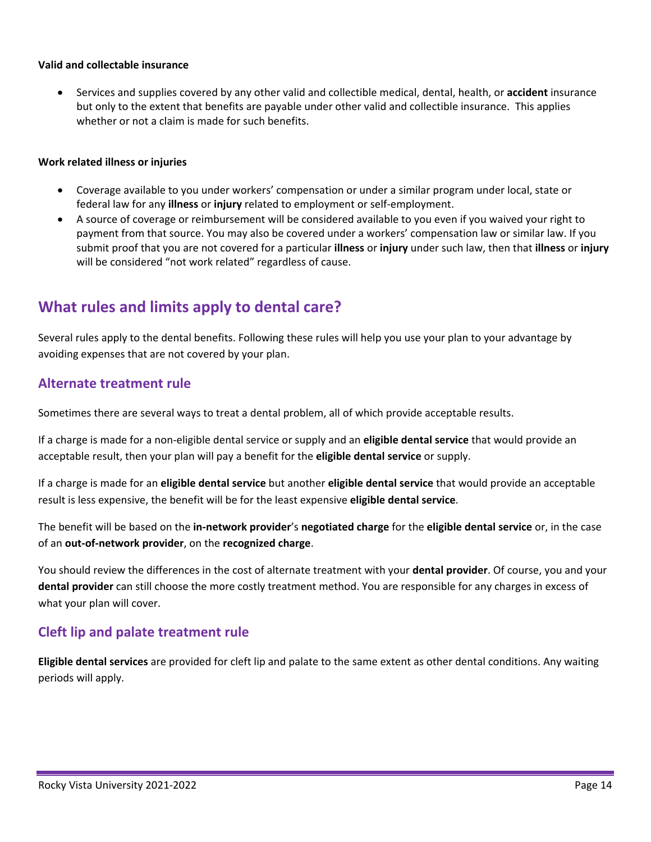#### **Valid and collectable insurance**

• Services and supplies covered by any other valid and collectible medical, dental, health, or **accident** insurance but only to the extent that benefits are payable under other valid and collectible insurance. This applies whether or not a claim is made for such benefits.

#### **Work related illness or injuries**

- Coverage available to you under workers' compensation or under a similar program under local, state or federal law for any **illness** or **injury** related to employment or self-employment.
- A source of coverage or reimbursement will be considered available to you even if you waived your right to payment from that source. You may also be covered under a workers' compensation law or similar law. If you submit proof that you are not covered for a particular **illness** or **injury** under such law, then that **illness** or **injury** will be considered "not work related" regardless of cause.

# **What rules and limits apply to dental care?**

Several rules apply to the dental benefits. Following these rules will help you use your plan to your advantage by avoiding expenses that are not covered by your plan.

# **Alternate treatment rule**

Sometimes there are several ways to treat a dental problem, all of which provide acceptable results.

If a charge is made for a non-eligible dental service or supply and an **eligible dental service** that would provide an acceptable result, then your plan will pay a benefit for the **eligible dental service** or supply.

If a charge is made for an **eligible dental service** but another **eligible dental service** that would provide an acceptable result is less expensive, the benefit will be for the least expensive **eligible dental service**.

The benefit will be based on the **in-network provider**'s **negotiated charge** for the **eligible dental service** or, in the case of an **out-of-network provider**, on the **recognized charge**.

You should review the differences in the cost of alternate treatment with your **dental provider**. Of course, you and your **dental provider** can still choose the more costly treatment method. You are responsible for any charges in excess of what your plan will cover.

# **Cleft lip and palate treatment rule**

**Eligible dental services** are provided for cleft lip and palate to the same extent as other dental conditions. Any waiting periods will apply.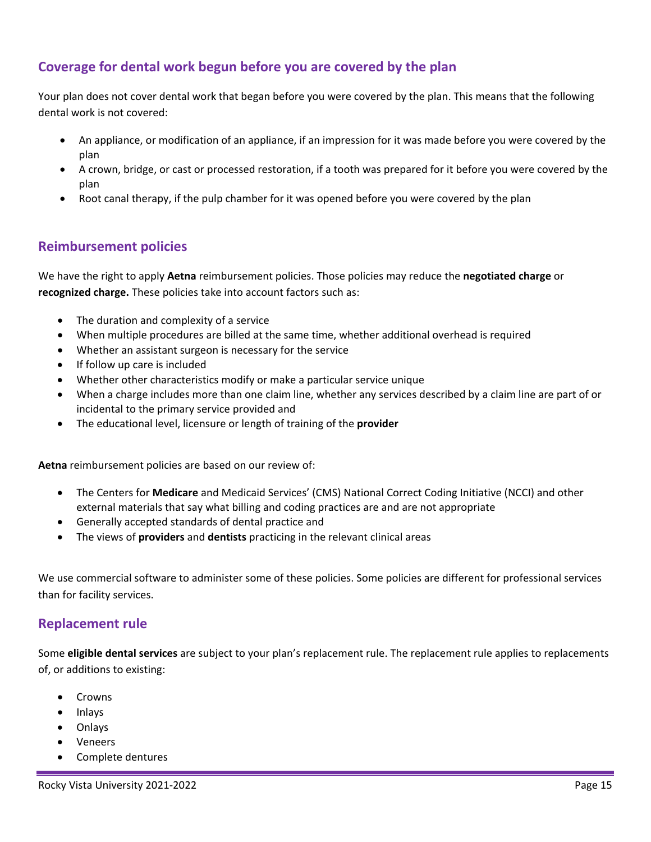# **Coverage for dental work begun before you are covered by the plan**

Your plan does not cover dental work that began before you were covered by the plan. This means that the following dental work is not covered:

- An appliance, or modification of an appliance, if an impression for it was made before you were covered by the plan
- A crown, bridge, or cast or processed restoration, if a tooth was prepared for it before you were covered by the plan
- Root canal therapy, if the pulp chamber for it was opened before you were covered by the plan

# **Reimbursement policies**

We have the right to apply **Aetna** reimbursement policies. Those policies may reduce the **negotiated charge** or **recognized charge.** These policies take into account factors such as:

- The duration and complexity of a service
- When multiple procedures are billed at the same time, whether additional overhead is required
- Whether an assistant surgeon is necessary for the service
- If follow up care is included
- Whether other characteristics modify or make a particular service unique
- When a charge includes more than one claim line, whether any services described by a claim line are part of or incidental to the primary service provided and
- The educational level, licensure or length of training of the **provider**

**Aetna** reimbursement policies are based on our review of:

- The Centers for **Medicare** and Medicaid Services' (CMS) National Correct Coding Initiative (NCCI) and other external materials that say what billing and coding practices are and are not appropriate
- Generally accepted standards of dental practice and
- The views of **providers** and **dentists** practicing in the relevant clinical areas

We use commercial software to administer some of these policies. Some policies are different for professional services than for facility services.

# **Replacement rule**

Some **eligible dental services** are subject to your plan's replacement rule. The replacement rule applies to replacements of, or additions to existing:

- **Crowns**
- Inlays
- Onlays
- Veneers
- Complete dentures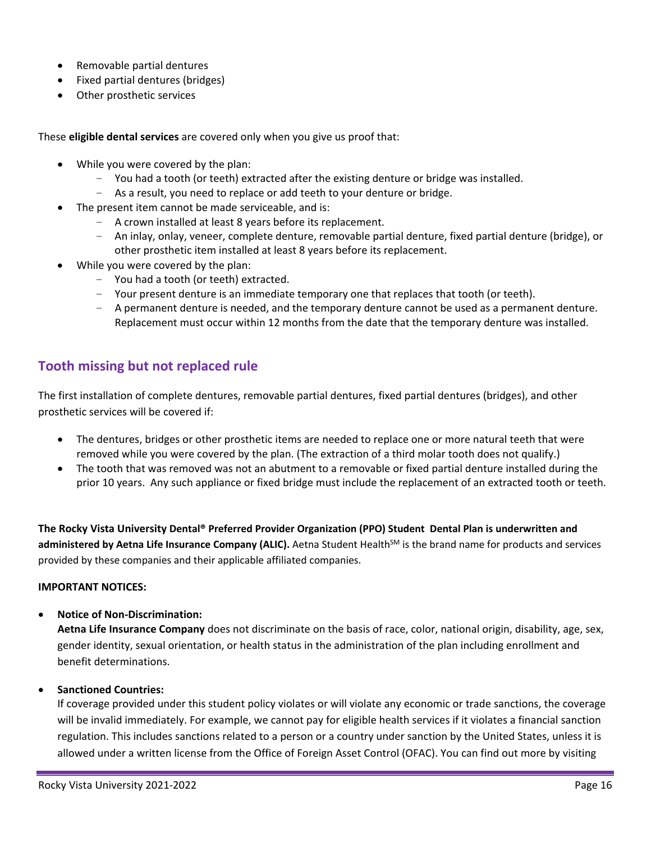- Removable partial dentures
- Fixed partial dentures (bridges)
- Other prosthetic services

These **eligible dental services** are covered only when you give us proof that:

- While you were covered by the plan:
	- You had a tooth (or teeth) extracted after the existing denture or bridge was installed.
	- As a result, you need to replace or add teeth to your denture or bridge.
- The present item cannot be made serviceable, and is:
	- A crown installed at least 8 years before its replacement.
	- An inlay, onlay, veneer, complete denture, removable partial denture, fixed partial denture (bridge), or other prosthetic item installed at least 8 years before its replacement.
- While you were covered by the plan:
	- You had a tooth (or teeth) extracted.
	- Your present denture is an immediate temporary one that replaces that tooth (or teeth).
	- A permanent denture is needed, and the temporary denture cannot be used as a permanent denture. Replacement must occur within 12 months from the date that the temporary denture was installed.

# **Tooth missing but not replaced rule**

The first installation of complete dentures, removable partial dentures, fixed partial dentures (bridges), and other prosthetic services will be covered if:

- The dentures, bridges or other prosthetic items are needed to replace one or more natural teeth that were removed while you were covered by the plan. (The extraction of a third molar tooth does not qualify.)
- The tooth that was removed was not an abutment to a removable or fixed partial denture installed during the prior 10 years. Any such appliance or fixed bridge must include the replacement of an extracted tooth or teeth.

**The Rocky Vista University Dental® Preferred Provider Organization (PPO) Student Dental Plan is underwritten and**  administered by Aetna Life Insurance Company (ALIC). Aetna Student Health<sup>SM</sup> is the brand name for products and services provided by these companies and their applicable affiliated companies.

#### **IMPORTANT NOTICES:**

• **Notice of Non-Discrimination:**

**Aetna Life Insurance Company** does not discriminate on the basis of race, color, national origin, disability, age, sex, gender identity, sexual orientation, or health status in the administration of the plan including enrollment and benefit determinations.

• **Sanctioned Countries:**

If coverage provided under this student policy violates or will violate any economic or trade sanctions, the coverage will be invalid immediately. For example, we cannot pay for eligible health services if it violates a financial sanction regulation. This includes sanctions related to a person or a country under sanction by the United States, unless it is allowed under a written license from the Office of Foreign Asset Control (OFAC). You can find out more by visiting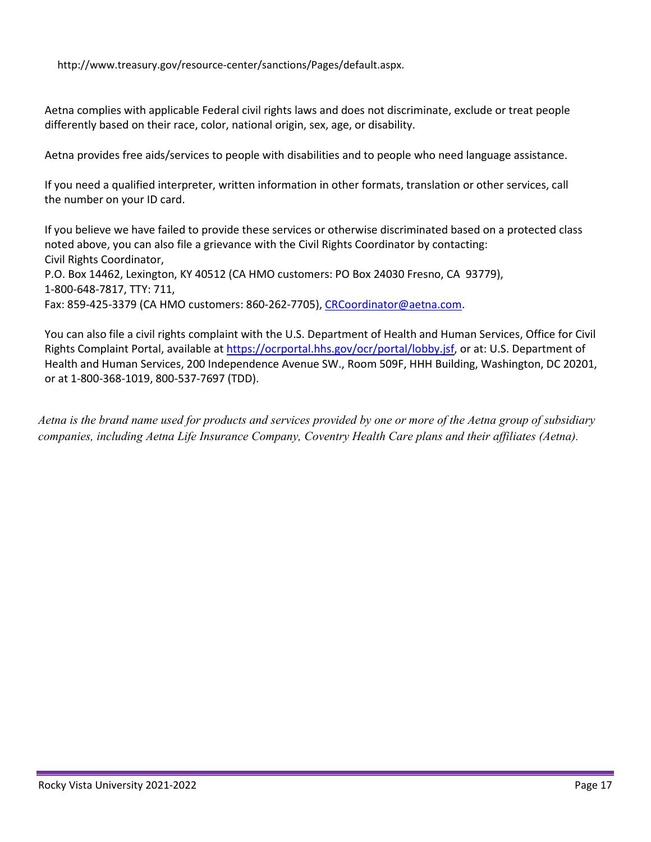http://www.treasury.gov/resource-center/sanctions/Pages/default.aspx.

Aetna complies with applicable Federal civil rights laws and does not discriminate, exclude or treat people differently based on their race, color, national origin, sex, age, or disability.

Aetna provides free aids/services to people with disabilities and to people who need language assistance.

If you need a qualified interpreter, written information in other formats, translation or other services, call the number on your ID card.

If you believe we have failed to provide these services or otherwise discriminated based on a protected class noted above, you can also file a grievance with the Civil Rights Coordinator by contacting: Civil Rights Coordinator, P.O. Box 14462, Lexington, KY 40512 (CA HMO customers: PO Box 24030 Fresno, CA 93779), 1-800-648-7817, TTY: 711, Fax: 859-425-3379 (CA HMO customers: 860-262-7705), [CRCoordinator@aetna.com.](mailto:CRCoordinator@aetna.com)

You can also file a civil rights complaint with the U.S. Department of Health and Human Services, Office for Civil Rights Complaint Portal, available at [https://ocrportal.hhs.gov/ocr/portal/lobby.jsf, o](https://ocrportal.hhs.gov/ocr/portal/lobby.jsf)r at: U.S. Department of Health and Human Services, 200 Independence Avenue SW., Room 509F, HHH Building, Washington, DC 20201, or at 1-800-368-1019, 800-537-7697 (TDD).

*Aetna is the brand name used for products and services provided by one or more of the Aetna group of subsidiary companies, including Aetna Life Insurance Company, Coventry Health Care plans and their affiliates (Aetna).*